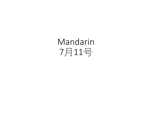# Mandarin 7月11号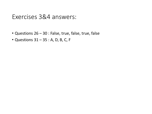#### Exercises 3&4 answers:

- Questions 26 30 : False, true, false, true, false
- Questions 31 35 : A, D, B, C, F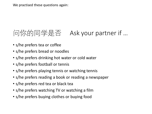We practised these questions again:

## 问你的同学是否 Ask your partner if …

- s/he prefers tea or coffee
- s/he prefers bread or noodles
- s/he prefers drinking hot water or cold water
- s/he prefers football or tennis
- s/he prefers playing tennis or watching tennis
- s/he prefers reading a book or reading a newspaper
- s/he prefers red tea or black tea
- s/he prefers watching TV or watching a film
- s/he prefers buying clothes or buying food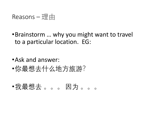### Reasons — 理由

- •Brainstorm … why you might want to travel to a particular location. EG:
- •Ask and answer:
- •你最想去什么地方旅游?
- •我最想去 。。。 因为 。。。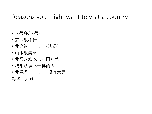### Reasons you might want to visit a country

- 人很多/人很少
- 东西很不贵
- 我会说 。。。 (法语)
- 山水很美丽
- •我很喜欢吃(法国)菜
- 我想认识不一样的人
- 我觉得 。。。。 很有意思 等等 (etc)